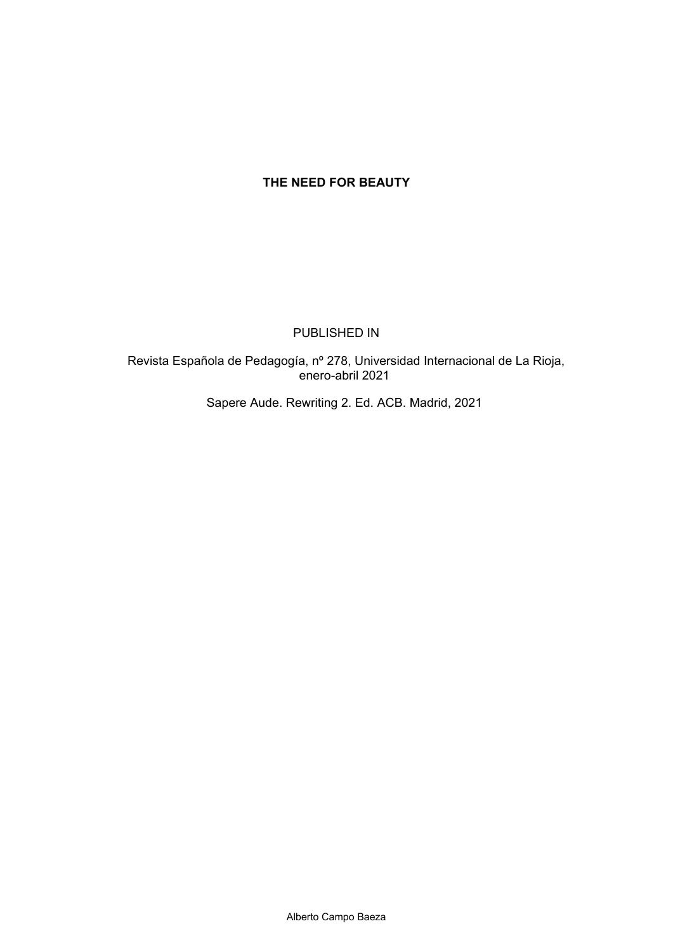# **THE NEED FOR BEAUTY**

### PUBLISHED IN

 Revista Española de Pedagogía, nº 278, Universidad Internacional de La Rioja, enero-abril 2021

Sapere Aude. Rewriting 2. Ed. ACB. Madrid, 2021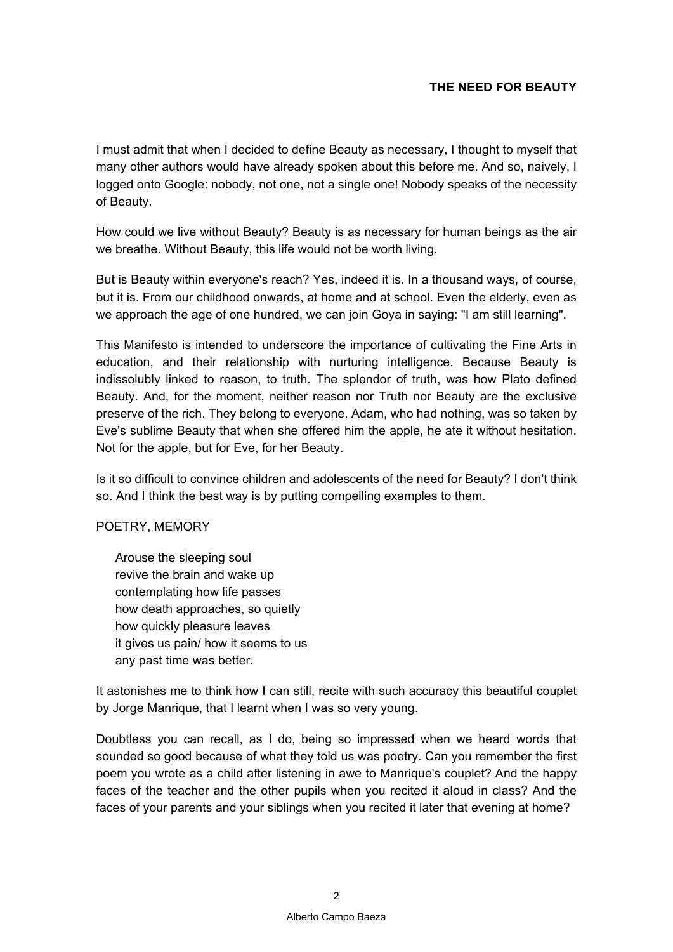# **THE NEED FOR BEAUTY**

I must admit that when I decided to define Beauty as necessary, I thought to myself that many other authors would have already spoken about this before me. And so, naively, I logged onto Google: nobody, not one, not a single one! Nobody speaks of the necessity of Beauty.

How could we live without Beauty? Beauty is as necessary for human beings as the air we breathe. Without Beauty, this life would not be worth living.

But is Beauty within everyone's reach? Yes, indeed it is. In a thousand ways, of course, but it is. From our childhood onwards, at home and at school. Even the elderly, even as we approach the age of one hundred, we can join Goya in saying: "I am still learning".

This Manifesto is intended to underscore the importance of cultivating the Fine Arts in education, and their relationship with nurturing intelligence. Because Beauty is indissolubly linked to reason, to truth. The splendor of truth, was how Plato defined Beauty. And, for the moment, neither reason nor Truth nor Beauty are the exclusive preserve of the rich. They belong to everyone. Adam, who had nothing, was so taken by Eve's sublime Beauty that when she offered him the apple, he ate it without hesitation. Not for the apple, but for Eve, for her Beauty.

Is it so difficult to convince children and adolescents of the need for Beauty? I don't think so. And I think the best way is by putting compelling examples to them.

POETRY, MEMORY

Arouse the sleeping soul revive the brain and wake up contemplating how life passes how death approaches, so quietly how quickly pleasure leaves it gives us pain/ how it seems to us any past time was better.

It astonishes me to think how I can still, recite with such accuracy this beautiful couplet by Jorge Manrique, that I learnt when I was so very young.

Doubtless you can recall, as I do, being so impressed when we heard words that sounded so good because of what they told us was poetry. Can you remember the first poem you wrote as a child after listening in awe to Manrique's couplet? And the happy faces of the teacher and the other pupils when you recited it aloud in class? And the faces of your parents and your siblings when you recited it later that evening at home?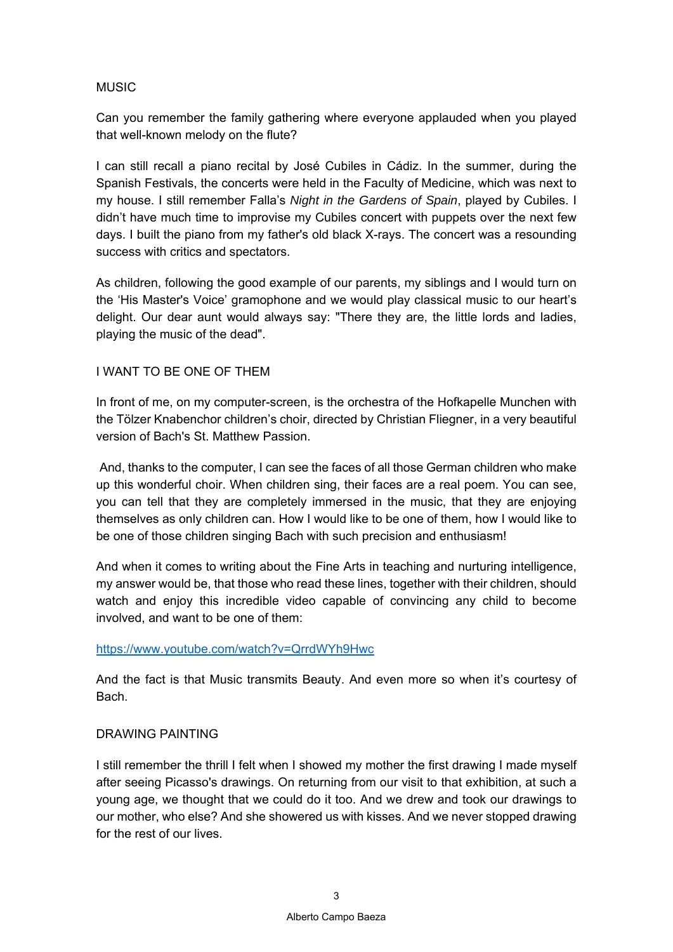# **MUSIC**

Can you remember the family gathering where everyone applauded when you played that well-known melody on the flute?

I can still recall a piano recital by José Cubiles in Cádiz. In the summer, during the Spanish Festivals, the concerts were held in the Faculty of Medicine, which was next to my house. I still remember Falla's *Night in the Gardens of Spain*, played by Cubiles. I didn't have much time to improvise my Cubiles concert with puppets over the next few days. I built the piano from my father's old black X-rays. The concert was a resounding success with critics and spectators.

As children, following the good example of our parents, my siblings and I would turn on the 'His Master's Voice' gramophone and we would play classical music to our heart's delight. Our dear aunt would always say: "There they are, the little lords and ladies, playing the music of the dead".

## I WANT TO BE ONE OF THEM

In front of me, on my computer-screen, is the orchestra of the Hofkapelle Munchen with the Tölzer Knabenchor children's choir, directed by Christian Fliegner, in a very beautiful version of Bach's St. Matthew Passion.

 And, thanks to the computer, I can see the faces of all those German children who make up this wonderful choir. When children sing, their faces are a real poem. You can see, you can tell that they are completely immersed in the music, that they are enjoying themselves as only children can. How I would like to be one of them, how I would like to be one of those children singing Bach with such precision and enthusiasm!

And when it comes to writing about the Fine Arts in teaching and nurturing intelligence, my answer would be, that those who read these lines, together with their children, should watch and enjoy this incredible video capable of convincing any child to become involved, and want to be one of them:

### https://www.youtube.com/watch?v=QrrdWYh9Hwc

And the fact is that Music transmits Beauty. And even more so when it's courtesy of Bach.

### DRAWING PAINTING

I still remember the thrill I felt when I showed my mother the first drawing I made myself after seeing Picasso's drawings. On returning from our visit to that exhibition, at such a young age, we thought that we could do it too. And we drew and took our drawings to our mother, who else? And she showered us with kisses. And we never stopped drawing for the rest of our lives.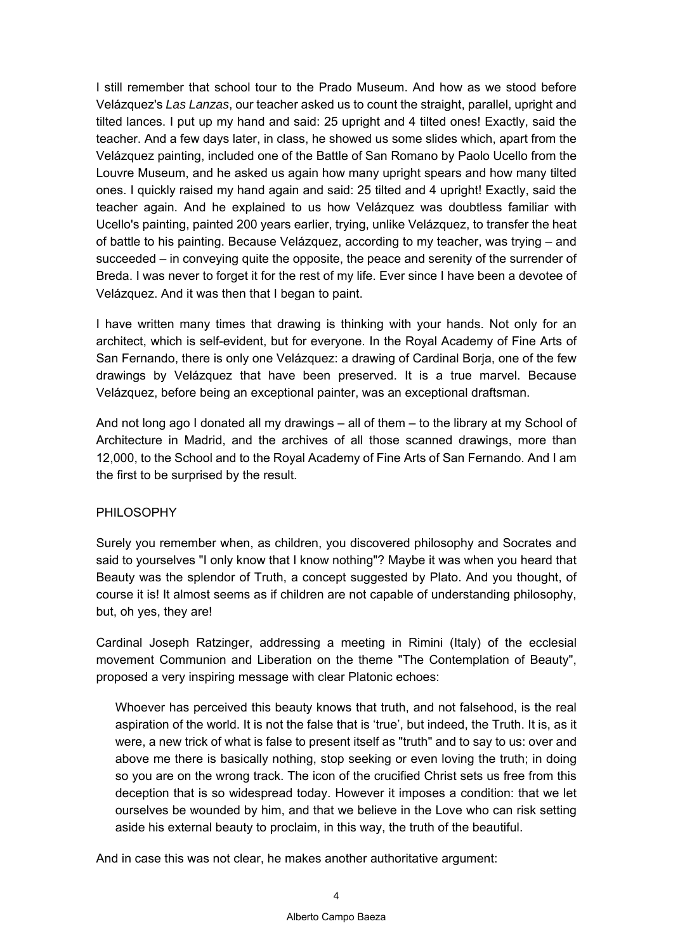I still remember that school tour to the Prado Museum. And how as we stood before Velázquez's *Las Lanzas*, our teacher asked us to count the straight, parallel, upright and tilted lances. I put up my hand and said: 25 upright and 4 tilted ones! Exactly, said the teacher. And a few days later, in class, he showed us some slides which, apart from the Velázquez painting, included one of the Battle of San Romano by Paolo Ucello from the Louvre Museum, and he asked us again how many upright spears and how many tilted ones. I quickly raised my hand again and said: 25 tilted and 4 upright! Exactly, said the teacher again. And he explained to us how Velázquez was doubtless familiar with Ucello's painting, painted 200 years earlier, trying, unlike Velázquez, to transfer the heat of battle to his painting. Because Velázquez, according to my teacher, was trying – and succeeded – in conveying quite the opposite, the peace and serenity of the surrender of Breda. I was never to forget it for the rest of my life. Ever since I have been a devotee of Velázquez. And it was then that I began to paint.

I have written many times that drawing is thinking with your hands. Not only for an architect, which is self-evident, but for everyone. In the Royal Academy of Fine Arts of San Fernando, there is only one Velázquez: a drawing of Cardinal Borja, one of the few drawings by Velázquez that have been preserved. It is a true marvel. Because Velázquez, before being an exceptional painter, was an exceptional draftsman.

And not long ago I donated all my drawings – all of them – to the library at my School of Architecture in Madrid, and the archives of all those scanned drawings, more than 12,000, to the School and to the Royal Academy of Fine Arts of San Fernando. And I am the first to be surprised by the result.

# PHILOSOPHY

Surely you remember when, as children, you discovered philosophy and Socrates and said to yourselves "I only know that I know nothing"? Maybe it was when you heard that Beauty was the splendor of Truth, a concept suggested by Plato. And you thought, of course it is! It almost seems as if children are not capable of understanding philosophy, but, oh yes, they are!

Cardinal Joseph Ratzinger, addressing a meeting in Rimini (Italy) of the ecclesial movement Communion and Liberation on the theme "The Contemplation of Beauty", proposed a very inspiring message with clear Platonic echoes:

Whoever has perceived this beauty knows that truth, and not falsehood, is the real aspiration of the world. It is not the false that is 'true', but indeed, the Truth. It is, as it were, a new trick of what is false to present itself as "truth" and to say to us: over and above me there is basically nothing, stop seeking or even loving the truth; in doing so you are on the wrong track. The icon of the crucified Christ sets us free from this deception that is so widespread today. However it imposes a condition: that we let ourselves be wounded by him, and that we believe in the Love who can risk setting aside his external beauty to proclaim, in this way, the truth of the beautiful.

And in case this was not clear, he makes another authoritative argument: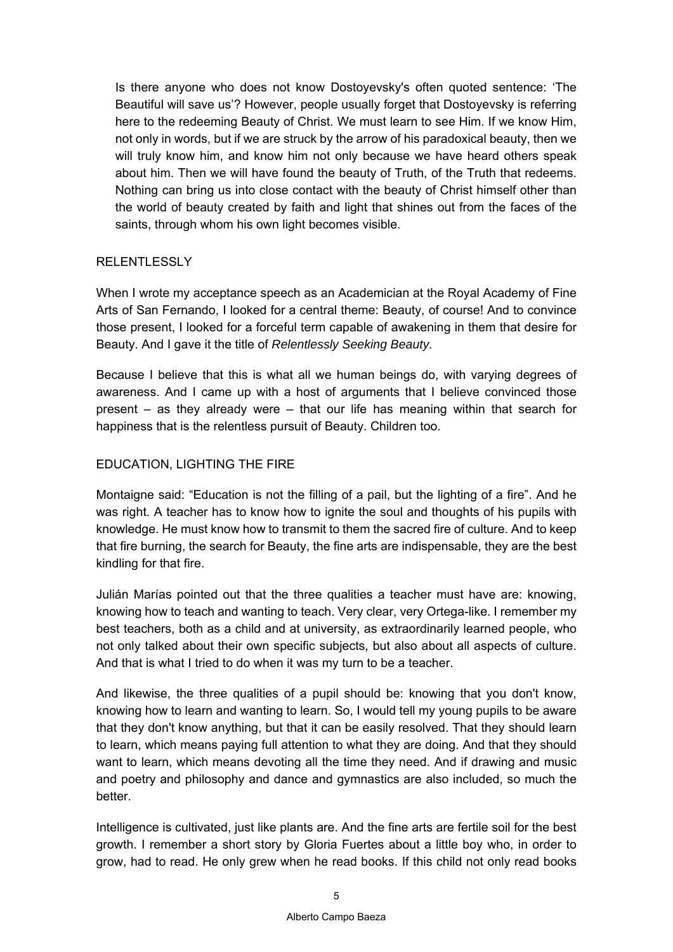Is there anyone who does not know Dostoyevsky's often quoted sentence: 'The Beautiful will save us'? However, people usually forget that Dostoyevsky is referring here to the redeeming Beauty of Christ. We must learn to see Him. If we know Him, not only in words, but if we are struck by the arrow of his paradoxical beauty, then we will truly know him, and know him not only because we have heard others speak about him. Then we will have found the beauty of Truth, of the Truth that redeems. Nothing can bring us into close contact with the beauty of Christ himself other than the world of beauty created by faith and light that shines out from the faces of the saints, through whom his own light becomes visible.

## RELENTLESSLY

When I wrote my acceptance speech as an Academician at the Royal Academy of Fine Arts of San Fernando, I looked for a central theme: Beauty, of course! And to convince those present, I looked for a forceful term capable of awakening in them that desire for Beauty. And I gave it the title of *Relentlessly Seeking Beauty.* 

Because I believe that this is what all we human beings do, with varying degrees of awareness. And I came up with a host of arguments that I believe convinced those present – as they already were – that our life has meaning within that search for happiness that is the relentless pursuit of Beauty. Children too.

## EDUCATION, LIGHTING THE FIRE

Montaigne said: "Education is not the filling of a pail, but the lighting of a fire". And he was right. A teacher has to know how to ignite the soul and thoughts of his pupils with knowledge. He must know how to transmit to them the sacred fire of culture. And to keep that fire burning, the search for Beauty, the fine arts are indispensable, they are the best kindling for that fire.

Julián Marías pointed out that the three qualities a teacher must have are: knowing, knowing how to teach and wanting to teach. Very clear, very Ortega-like. I remember my best teachers, both as a child and at university, as extraordinarily learned people, who not only talked about their own specific subjects, but also about all aspects of culture. And that is what I tried to do when it was my turn to be a teacher.

And likewise, the three qualities of a pupil should be: knowing that you don't know, knowing how to learn and wanting to learn. So, I would tell my young pupils to be aware that they don't know anything, but that it can be easily resolved. That they should learn to learn, which means paying full attention to what they are doing. And that they should want to learn, which means devoting all the time they need. And if drawing and music and poetry and philosophy and dance and gymnastics are also included, so much the better.

Intelligence is cultivated, just like plants are. And the fine arts are fertile soil for the best growth. I remember a short story by Gloria Fuertes about a little boy who, in order to grow, had to read. He only grew when he read books. If this child not only read books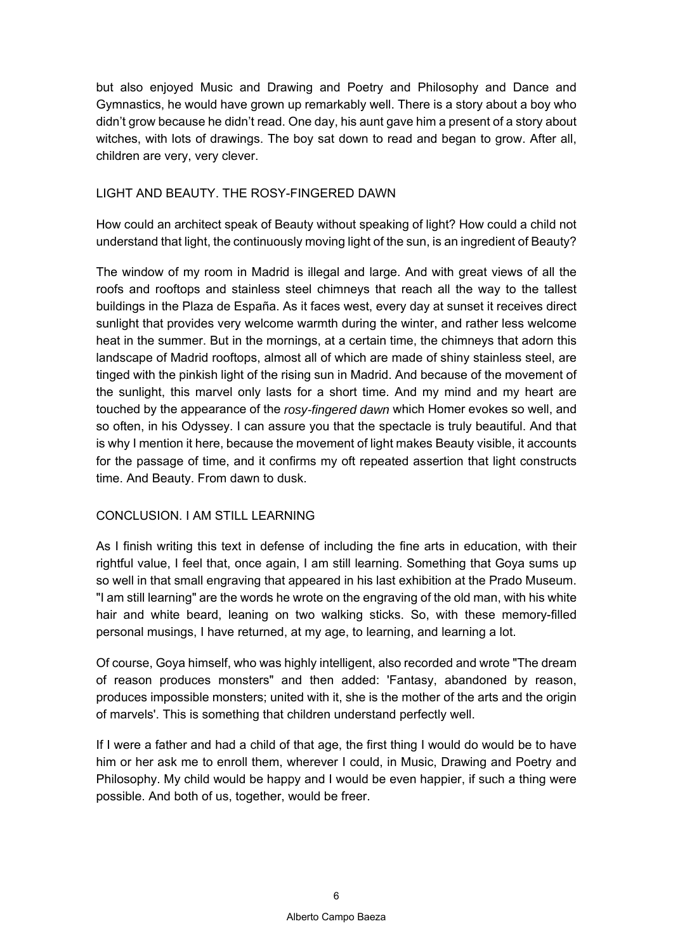but also enjoyed Music and Drawing and Poetry and Philosophy and Dance and Gymnastics, he would have grown up remarkably well. There is a story about a boy who didn't grow because he didn't read. One day, his aunt gave him a present of a story about witches, with lots of drawings. The boy sat down to read and began to grow. After all, children are very, very clever.

### LIGHT AND BEAUTY. THE ROSY-FINGERED DAWN

How could an architect speak of Beauty without speaking of light? How could a child not understand that light, the continuously moving light of the sun, is an ingredient of Beauty?

The window of my room in Madrid is illegal and large. And with great views of all the roofs and rooftops and stainless steel chimneys that reach all the way to the tallest buildings in the Plaza de España. As it faces west, every day at sunset it receives direct sunlight that provides very welcome warmth during the winter, and rather less welcome heat in the summer. But in the mornings, at a certain time, the chimneys that adorn this landscape of Madrid rooftops, almost all of which are made of shiny stainless steel, are tinged with the pinkish light of the rising sun in Madrid. And because of the movement of the sunlight, this marvel only lasts for a short time. And my mind and my heart are touched by the appearance of the *rosy-fingered dawn* which Homer evokes so well, and so often, in his Odyssey. I can assure you that the spectacle is truly beautiful. And that is why I mention it here, because the movement of light makes Beauty visible, it accounts for the passage of time, and it confirms my oft repeated assertion that light constructs time. And Beauty. From dawn to dusk.

# CONCLUSION. LAM STILL LEARNING

As I finish writing this text in defense of including the fine arts in education, with their rightful value, I feel that, once again, I am still learning. Something that Goya sums up so well in that small engraving that appeared in his last exhibition at the Prado Museum. "I am still learning" are the words he wrote on the engraving of the old man, with his white hair and white beard, leaning on two walking sticks. So, with these memory-filled personal musings, I have returned, at my age, to learning, and learning a lot.

Of course, Goya himself, who was highly intelligent, also recorded and wrote "The dream of reason produces monsters" and then added: 'Fantasy, abandoned by reason, produces impossible monsters; united with it, she is the mother of the arts and the origin of marvels'. This is something that children understand perfectly well.

If I were a father and had a child of that age, the first thing I would do would be to have him or her ask me to enroll them, wherever I could, in Music, Drawing and Poetry and Philosophy. My child would be happy and I would be even happier, if such a thing were possible. And both of us, together, would be freer.